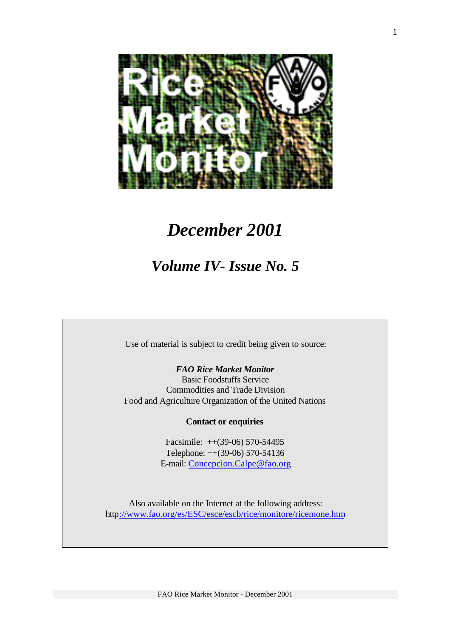

# *December 2001*

# *Volume IV- Issue No. 5*

Use of material is subject to credit being given to source:

*FAO Rice Market Monitor* Basic Foodstuffs Service Commodities and Trade Division Food and Agriculture Organization of the United Nations

### **Contact or enquiries**

Facsimile: ++(39-06) 570-54495 Telephone: ++(39-06) 570-54136 E-mail: Concepcion.Calpe@fao.org

Also available on the Internet at the following address: http://www.fao.org/es/ESC/esce/escb/rice/monitore/ricemone.htm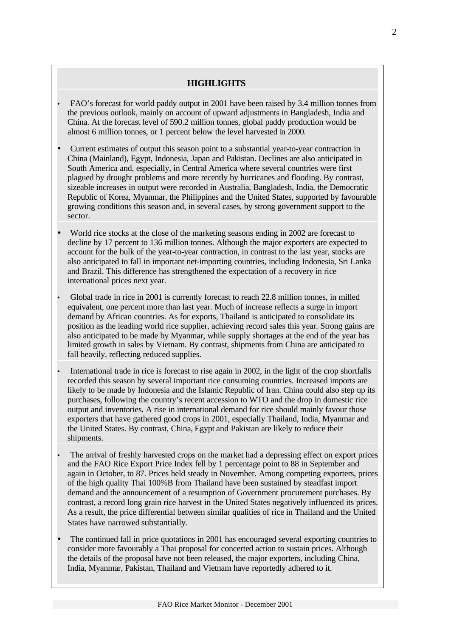### **HIGHLIGHTS**

- FAO's forecast for world paddy output in 2001 have been raised by 3.4 million tonnes from the previous outlook, mainly on account of upward adjustments in Bangladesh, India and China. At the forecast level of 590.2 million tonnes, global paddy production would be almost 6 million tonnes, or 1 percent below the level harvested in 2000.
- Current estimates of output this season point to a substantial year-to-year contraction in China (Mainland), Egypt, Indonesia, Japan and Pakistan. Declines are also anticipated in South America and, especially, in Central America where several countries were first plagued by drought problems and more recently by hurricanes and flooding. By contrast, sizeable increases in output were recorded in Australia, Bangladesh, India, the Democratic Republic of Korea, Myanmar, the Philippines and the United States, supported by favourable growing conditions this season and, in several cases, by strong government support to the sector.
- World rice stocks at the close of the marketing seasons ending in 2002 are forecast to decline by 17 percent to 136 million tonnes. Although the major exporters are expected to account for the bulk of the year-to-year contraction, in contrast to the last year, stocks are also anticipated to fall in important net-importing countries, including Indonesia, Sri Lanka and Brazil. This difference has strengthened the expectation of a recovery in rice international prices next year.
- Global trade in rice in 2001 is currently forecast to reach 22.8 million tonnes, in milled equivalent, one percent more than last year. Much of increase reflects a surge in import demand by African countries. As for exports, Thailand is anticipated to consolidate its position as the leading world rice supplier, achieving record sales this year. Strong gains are also anticipated to be made by Myanmar, while supply shortages at the end of the year has limited growth in sales by Vietnam. By contrast, shipments from China are anticipated to fall heavily, reflecting reduced supplies.
- International trade in rice is forecast to rise again in 2002, in the light of the crop shortfalls recorded this season by several important rice consuming countries. Increased imports are likely to be made by Indonesia and the Islamic Republic of Iran. China could also step up its purchases, following the country's recent accession to WTO and the drop in domestic rice output and inventories. A rise in international demand for rice should mainly favour those exporters that have gathered good crops in 2001, especially Thailand, India, Myanmar and the United States. By contrast, China, Egypt and Pakistan are likely to reduce their shipments.
- The arrival of freshly harvested crops on the market had a depressing effect on export prices and the FAO Rice Export Price Index fell by 1 percentage point to 88 in September and again in October, to 87. Prices held steady in November. Among competing exporters, prices of the high quality Thai 100%B from Thailand have been sustained by steadfast import demand and the announcement of a resumption of Government procurement purchases. By contrast, a record long grain rice harvest in the United States negatively influenced its prices. As a result, the price differential between similar qualities of rice in Thailand and the United States have narrowed substantially.
- The continued fall in price quotations in 2001 has encouraged several exporting countries to consider more favourably a Thai proposal for concerted action to sustain prices. Although the details of the proposal have not been released, the major exporters, including China, India, Myanmar, Pakistan, Thailand and Vietnam have reportedly adhered to it.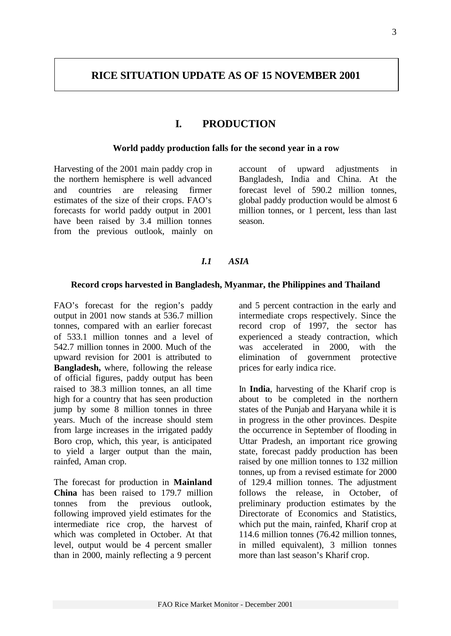## **I. PRODUCTION**

#### **World paddy production falls for the second year in a row**

Harvesting of the 2001 main paddy crop in the northern hemisphere is well advanced and countries are releasing firmer estimates of the size of their crops. FAO's forecasts for world paddy output in 2001 have been raised by 3.4 million tonnes from the previous outlook, mainly on account of upward adjustments in Bangladesh, India and China. At the forecast level of 590.2 million tonnes, global paddy production would be almost 6 million tonnes, or 1 percent, less than last season.

### *I.1 ASIA*

#### **Record crops harvested in Bangladesh, Myanmar, the Philippines and Thailand**

FAO's forecast for the region's paddy output in 2001 now stands at 536.7 million tonnes, compared with an earlier forecast of 533.1 million tonnes and a level of 542.7 million tonnes in 2000. Much of the upward revision for 2001 is attributed to **Bangladesh,** where, following the release of official figures, paddy output has been raised to 38.3 million tonnes, an all time high for a country that has seen production jump by some 8 million tonnes in three years. Much of the increase should stem from large increases in the irrigated paddy Boro crop, which, this year, is anticipated to yield a larger output than the main, rainfed, Aman crop.

The forecast for production in **Mainland China** has been raised to 179.7 million tonnes from the previous outlook, following improved yield estimates for the intermediate rice crop, the harvest of which was completed in October. At that level, output would be 4 percent smaller than in 2000, mainly reflecting a 9 percent

and 5 percent contraction in the early and intermediate crops respectively. Since the record crop of 1997, the sector has experienced a steady contraction, which was accelerated in 2000, with the elimination of government protective prices for early indica rice.

In **India**, harvesting of the Kharif crop is about to be completed in the northern states of the Punjab and Haryana while it is in progress in the other provinces. Despite the occurrence in September of flooding in Uttar Pradesh, an important rice growing state, forecast paddy production has been raised by one million tonnes to 132 million tonnes, up from a revised estimate for 2000 of 129.4 million tonnes. The adjustment follows the release, in October, of preliminary production estimates by the Directorate of Economics and Statistics, which put the main, rainfed, Kharif crop at 114.6 million tonnes (76.42 million tonnes, in milled equivalent), 3 million tonnes more than last season's Kharif crop.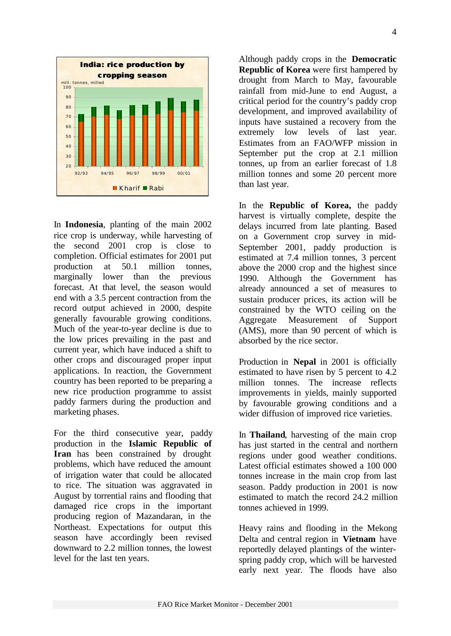

In **Indonesia**, planting of the main 2002 rice crop is underway, while harvesting of the second 2001 crop is close to completion. Official estimates for 2001 put production at 50.1 million tonnes, marginally lower than the previous forecast. At that level, the season would end with a 3.5 percent contraction from the record output achieved in 2000, despite generally favourable growing conditions. Much of the year-to-year decline is due to the low prices prevailing in the past and current year, which have induced a shift to other crops and discouraged proper input applications. In reaction, the Government country has been reported to be preparing a new rice production programme to assist paddy farmers during the production and marketing phases.

For the third consecutive year, paddy production in the **Islamic Republic of Iran** has been constrained by drought problems, which have reduced the amount of irrigation water that could be allocated to rice. The situation was aggravated in August by torrential rains and flooding that damaged rice crops in the important producing region of Mazandaran, in the Northeast. Expectations for output this season have accordingly been revised downward to 2.2 million tonnes, the lowest level for the last ten years.

Although paddy crops in the **Democratic Republic of Korea** were first hampered by drought from March to May, favourable rainfall from mid-June to end August, a critical period for the country's paddy crop development, and improved availability of inputs have sustained a recovery from the extremely low levels of last year. Estimates from an FAO/WFP mission in September put the crop at 2.1 million tonnes, up from an earlier forecast of 1.8 million tonnes and some 20 percent more than last year.

In the **Republic of Korea,** the paddy harvest is virtually complete, despite the delays incurred from late planting. Based on a Government crop survey in mid-September 2001, paddy production is estimated at 7.4 million tonnes, 3 percent above the 2000 crop and the highest since 1990. Although the Government has already announced a set of measures to sustain producer prices, its action will be constrained by the WTO ceiling on the Aggregate Measurement of Support (AMS), more than 90 percent of which is absorbed by the rice sector.

Production in **Nepal** in 2001 is officially estimated to have risen by 5 percent to 4.2 million tonnes. The increase reflects improvements in yields, mainly supported by favourable growing conditions and a wider diffusion of improved rice varieties.

In **Thailand**, harvesting of the main crop has just started in the central and northern regions under good weather conditions. Latest official estimates showed a 100 000 tonnes increase in the main crop from last season. Paddy production in 2001 is now estimated to match the record 24.2 million tonnes achieved in 1999.

Heavy rains and flooding in the Mekong Delta and central region in **Vietnam** have reportedly delayed plantings of the winterspring paddy crop, which will be harvested early next year. The floods have also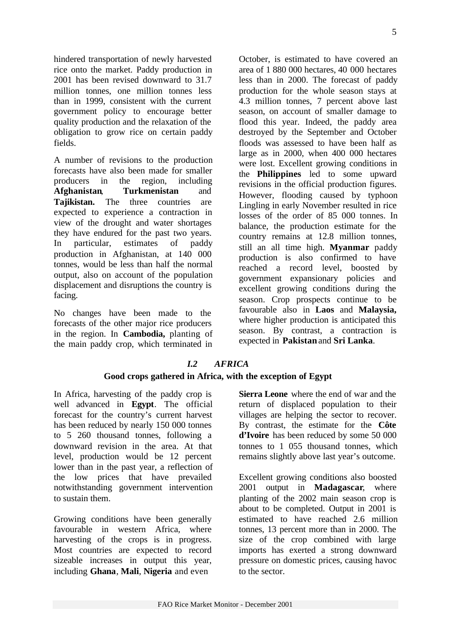hindered transportation of newly harvested rice onto the market. Paddy production in 2001 has been revised downward to 31.7 million tonnes, one million tonnes less than in 1999, consistent with the current government policy to encourage better quality production and the relaxation of the obligation to grow rice on certain paddy fields.

A number of revisions to the production forecasts have also been made for smaller producers in the region, including **Afghanistan**, **Turkmenistan** and **Tajikistan.** The three countries are expected to experience a contraction in view of the drought and water shortages they have endured for the past two years. In particular, estimates of paddy production in Afghanistan, at 140 000 tonnes, would be less than half the normal output, also on account of the population displacement and disruptions the country is facing.

No changes have been made to the forecasts of the other major rice producers in the region. In **Cambodia,** planting of the main paddy crop, which terminated in October, is estimated to have covered an area of 1 880 000 hectares, 40 000 hectares less than in 2000. The forecast of paddy production for the whole season stays at 4.3 million tonnes, 7 percent above last season, on account of smaller damage to flood this year. Indeed, the paddy area destroyed by the September and October floods was assessed to have been half as large as in 2000, when 400 000 hectares were lost. Excellent growing conditions in the **Philippines** led to some upward revisions in the official production figures. However, flooding caused by typhoon Lingling in early November resulted in rice losses of the order of 85 000 tonnes. In balance, the production estimate for the country remains at 12.8 million tonnes, still an all time high. **Myanmar** paddy production is also confirmed to have reached a record level, boosted by government expansionary policies and excellent growing conditions during the season. Crop prospects continue to be favourable also in **Laos** and **Malaysia,** where higher production is anticipated this season. By contrast, a contraction is expected in **Pakistan** and **Sri Lanka**.

## *I.2 AFRICA*

### **Good crops gathered in Africa, with the exception of Egypt**

In Africa, harvesting of the paddy crop is well advanced in **Egypt**. The official forecast for the country's current harvest has been reduced by nearly 150 000 tonnes to 5 260 thousand tonnes, following a downward revision in the area. At that level, production would be 12 percent lower than in the past year, a reflection of the low prices that have prevailed notwithstanding government intervention to sustain them.

Growing conditions have been generally favourable in western Africa, where harvesting of the crops is in progress. Most countries are expected to record sizeable increases in output this year, including **Ghana**, **Mali**, **Nigeria** and even

**Sierra Leone** where the end of war and the return of displaced population to their villages are helping the sector to recover. By contrast, the estimate for the **Côte d'Ivoire** has been reduced by some 50 000 tonnes to 1 055 thousand tonnes, which remains slightly above last year's outcome.

Excellent growing conditions also boosted 2001 output in **Madagascar**, where planting of the 2002 main season crop is about to be completed. Output in 2001 is estimated to have reached 2.6 million tonnes, 13 percent more than in 2000. The size of the crop combined with large imports has exerted a strong downward pressure on domestic prices, causing havoc to the sector.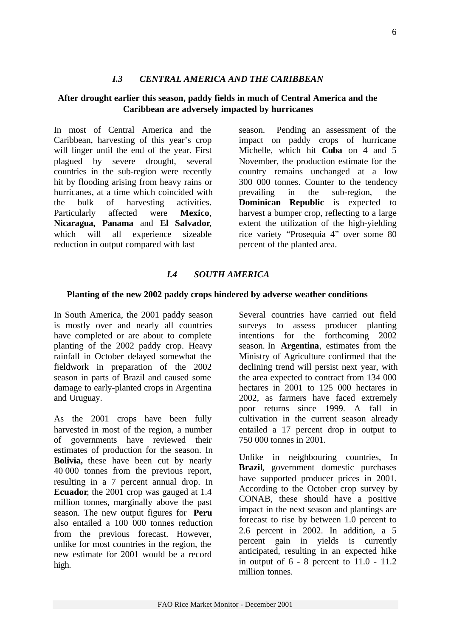## *I.3 CENTRAL AMERICA AND THE CARIBBEAN*

## **After drought earlier this season, paddy fields in much of Central America and the Caribbean are adversely impacted by hurricanes**

In most of Central America and the Caribbean, harvesting of this year's crop will linger until the end of the year. First plagued by severe drought, several countries in the sub-region were recently hit by flooding arising from heavy rains or hurricanes, at a time which coincided with the bulk of harvesting activities. Particularly affected were **Mexico**, **Nicaragua, Panama** and **El Salvador**, which will all experience sizeable reduction in output compared with last

season. Pending an assessment of the impact on paddy crops of hurricane Michelle, which hit **Cuba** on 4 and 5 November, the production estimate for the country remains unchanged at a low 300 000 tonnes. Counter to the tendency prevailing in the sub-region, the **Dominican Republic** is expected to harvest a bumper crop, reflecting to a large extent the utilization of the high-yielding rice variety "Prosequia 4" over some 80 percent of the planted area.

## *I.4 SOUTH AMERICA*

#### **Planting of the new 2002 paddy crops hindered by adverse weather conditions**

In South America, the 2001 paddy season is mostly over and nearly all countries have completed or are about to complete planting of the 2002 paddy crop. Heavy rainfall in October delayed somewhat the fieldwork in preparation of the 2002 season in parts of Brazil and caused some damage to early-planted crops in Argentina and Uruguay.

As the 2001 crops have been fully harvested in most of the region, a number of governments have reviewed their estimates of production for the season. In **Bolivia,** these have been cut by nearly 40 000 tonnes from the previous report, resulting in a 7 percent annual drop. In **Ecuador**, the 2001 crop was gauged at 1.4 million tonnes, marginally above the past season. The new output figures for **Peru** also entailed a 100 000 tonnes reduction from the previous forecast. However, unlike for most countries in the region, the new estimate for 2001 would be a record high.

Several countries have carried out field surveys to assess producer planting intentions for the forthcoming 2002 season. In **Argentina**, estimates from the Ministry of Agriculture confirmed that the declining trend will persist next year, with the area expected to contract from 134 000 hectares in 2001 to 125 000 hectares in 2002, as farmers have faced extremely poor returns since 1999. A fall in cultivation in the current season already entailed a 17 percent drop in output to 750 000 tonnes in 2001.

Unlike in neighbouring countries, In **Brazil**, government domestic purchases have supported producer prices in 2001. According to the October crop survey by CONAB, these should have a positive impact in the next season and plantings are forecast to rise by between 1.0 percent to 2.6 percent in 2002. In addition, a 5 percent gain in yields is currently anticipated, resulting in an expected hike in output of  $6 - 8$  percent to  $11.0 - 11.2$ million tonnes.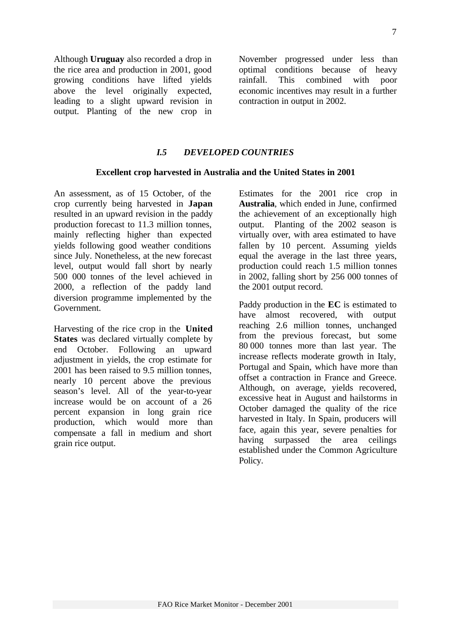Although **Uruguay** also recorded a drop in the rice area and production in 2001, good growing conditions have lifted yields above the level originally expected, leading to a slight upward revision in output. Planting of the new crop in

November progressed under less than optimal conditions because of heavy rainfall. This combined with poor economic incentives may result in a further contraction in output in 2002.

#### *I.5 DEVELOPED COUNTRIES*

#### **Excellent crop harvested in Australia and the United States in 2001**

An assessment, as of 15 October, of the crop currently being harvested in **Japan** resulted in an upward revision in the paddy production forecast to 11.3 million tonnes, mainly reflecting higher than expected yields following good weather conditions since July. Nonetheless, at the new forecast level, output would fall short by nearly 500 000 tonnes of the level achieved in 2000, a reflection of the paddy land diversion programme implemented by the Government.

Harvesting of the rice crop in the **United States** was declared virtually complete by end October. Following an upward adjustment in yields, the crop estimate for 2001 has been raised to 9.5 million tonnes, nearly 10 percent above the previous season's level. All of the year-to-year increase would be on account of a 26 percent expansion in long grain rice production, which would more than compensate a fall in medium and short grain rice output.

Estimates for the 2001 rice crop in **Australia**, which ended in June, confirmed the achievement of an exceptionally high output. Planting of the 2002 season is virtually over, with area estimated to have fallen by 10 percent. Assuming yields equal the average in the last three years, production could reach 1.5 million tonnes in 2002, falling short by 256 000 tonnes of the 2001 output record.

Paddy production in the **EC** is estimated to have almost recovered, with output reaching 2.6 million tonnes, unchanged from the previous forecast, but some 80 000 tonnes more than last year. The increase reflects moderate growth in Italy, Portugal and Spain, which have more than offset a contraction in France and Greece. Although, on average, yields recovered, excessive heat in August and hailstorms in October damaged the quality of the rice harvested in Italy. In Spain, producers will face, again this year, severe penalties for having surpassed the area ceilings established under the Common Agriculture Policy.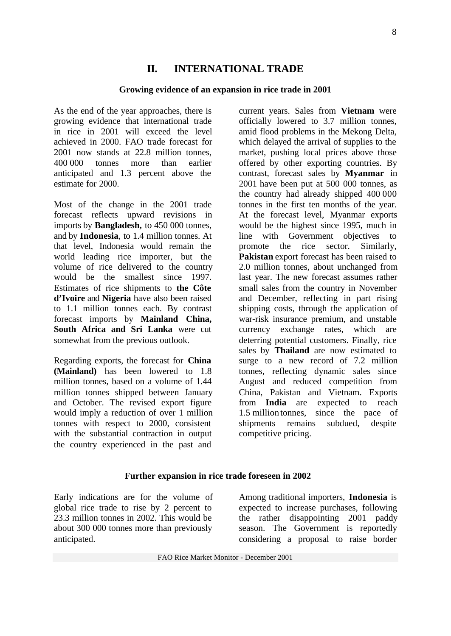## **II. INTERNATIONAL TRADE**

#### **Growing evidence of an expansion in rice trade in 2001**

As the end of the year approaches, there is growing evidence that international trade in rice in 2001 will exceed the level achieved in 2000. FAO trade forecast for 2001 now stands at 22.8 million tonnes, 400 000 tonnes more than earlier anticipated and 1.3 percent above the estimate for 2000.

Most of the change in the 2001 trade forecast reflects upward revisions in imports by **Bangladesh,** to 450 000 tonnes, and by **Indonesia**, to 1.4 million tonnes. At that level, Indonesia would remain the world leading rice importer, but the volume of rice delivered to the country would be the smallest since 1997. Estimates of rice shipments to **the Côte d'Ivoire** and **Nigeria** have also been raised to 1.1 million tonnes each. By contrast forecast imports by **Mainland China, South Africa and Sri Lanka** were cut somewhat from the previous outlook.

Regarding exports, the forecast for **China (Mainland)** has been lowered to 1.8 million tonnes, based on a volume of 1.44 million tonnes shipped between January and October. The revised export figure would imply a reduction of over 1 million tonnes with respect to 2000, consistent with the substantial contraction in output the country experienced in the past and

current years. Sales from **Vietnam** were officially lowered to 3.7 million tonnes, amid flood problems in the Mekong Delta, which delayed the arrival of supplies to the market, pushing local prices above those offered by other exporting countries. By contrast, forecast sales by **Myanmar** in 2001 have been put at 500 000 tonnes, as the country had already shipped 400 000 tonnes in the first ten months of the year. At the forecast level, Myanmar exports would be the highest since 1995, much in line with Government objectives to promote the rice sector. Similarly, **Pakistan** export forecast has been raised to 2.0 million tonnes, about unchanged from last year. The new forecast assumes rather small sales from the country in November and December, reflecting in part rising shipping costs, through the application of war-risk insurance premium, and unstable currency exchange rates, which are deterring potential customers. Finally, rice sales by **Thailand** are now estimated to surge to a new record of 7.2 million tonnes, reflecting dynamic sales since August and reduced competition from China, Pakistan and Vietnam. Exports from **India** are expected to reach 1.5 million tonnes, since the pace of shipments remains subdued, despite competitive pricing.

#### **Further expansion in rice trade foreseen in 2002**

Early indications are for the volume of global rice trade to rise by 2 percent to 23.3 million tonnes in 2002. This would be about 300 000 tonnes more than previously anticipated.

Among traditional importers, **Indonesia** is expected to increase purchases, following the rather disappointing 2001 paddy season. The Government is reportedly considering a proposal to raise border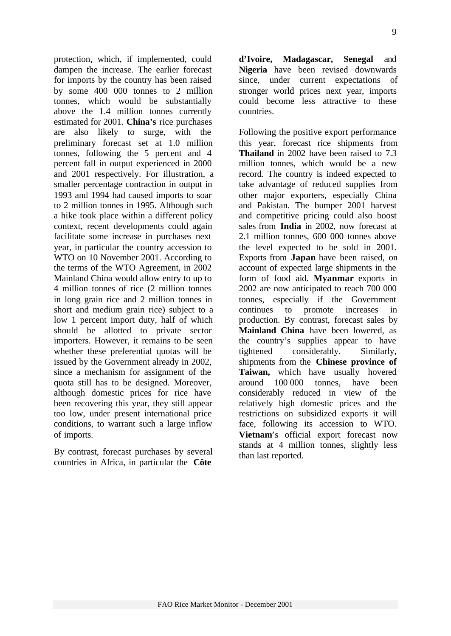protection, which, if implemented, could dampen the increase. The earlier forecast for imports by the country has been raised by some 400 000 tonnes to 2 million tonnes, which would be substantially above the 1.4 million tonnes currently estimated for 2001. **China's** rice purchases are also likely to surge, with the preliminary forecast set at 1.0 million tonnes, following the 5 percent and 4 percent fall in output experienced in 2000 and 2001 respectively. For illustration, a smaller percentage contraction in output in 1993 and 1994 had caused imports to soar to 2 million tonnes in 1995. Although such a hike took place within a different policy context, recent developments could again facilitate some increase in purchases next year, in particular the country accession to WTO on 10 November 2001. According to the terms of the WTO Agreement, in 2002 Mainland China would allow entry to up to 4 million tonnes of rice (2 million tonnes in long grain rice and 2 million tonnes in short and medium grain rice) subject to a low 1 percent import duty, half of which should be allotted to private sector importers. However, it remains to be seen whether these preferential quotas will be issued by the Government already in 2002, since a mechanism for assignment of the quota still has to be designed. Moreover, although domestic prices for rice have been recovering this year, they still appear too low, under present international price conditions, to warrant such a large inflow of imports.

By contrast, forecast purchases by several countries in Africa, in particular the **Côte**

**d'Ivoire, Madagascar, Senegal** and **Nigeria** have been revised downwards since, under current expectations of stronger world prices next year, imports could become less attractive to these countries.

Following the positive export performance this year, forecast rice shipments from **Thailand** in 2002 have been raised to 7.3 million tonnes, which would be a new record. The country is indeed expected to take advantage of reduced supplies from other major exporters, especially China and Pakistan. The bumper 2001 harvest and competitive pricing could also boost sales from **India** in 2002, now forecast at 2.1 million tonnes, 600 000 tonnes above the level expected to be sold in 2001. Exports from **Japan** have been raised, on account of expected large shipments in the form of food aid. **Myanmar** exports in 2002 are now anticipated to reach 700 000 tonnes, especially if the Government continues to promote increases in production. By contrast, forecast sales by **Mainland China** have been lowered, as the country's supplies appear to have tightened considerably. Similarly, shipments from the **Chinese province of Taiwan,** which have usually hovered around 100 000 tonnes, have been considerably reduced in view of the relatively high domestic prices and the restrictions on subsidized exports it will face, following its accession to WTO. **Vietnam**'s official export forecast now stands at 4 million tonnes, slightly less than last reported.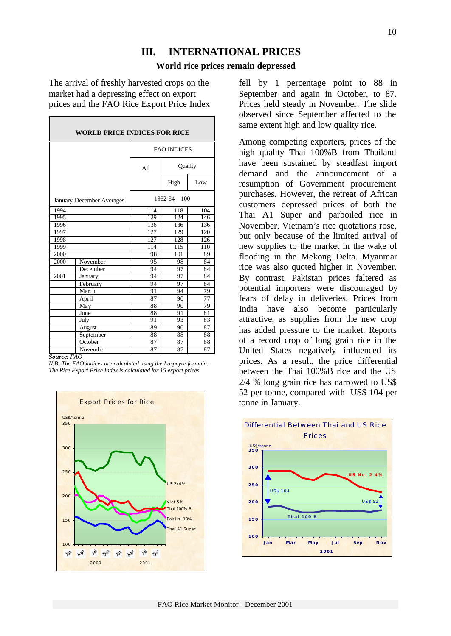## **III. INTERNATIONAL PRICES**

#### **World rice prices remain depressed**

The arrival of freshly harvested crops on the market had a depressing effect on export prices and the FAO Rice Export Price Index

| <b>WORLD PRICE INDICES FOR RICE</b> |                 |                    |                 |     |  |  |  |  |
|-------------------------------------|-----------------|--------------------|-----------------|-----|--|--|--|--|
|                                     |                 | <b>FAO INDICES</b> |                 |     |  |  |  |  |
|                                     |                 | A11                | Quality         |     |  |  |  |  |
|                                     |                 |                    | High            | Low |  |  |  |  |
| January-December Averages           |                 | $1982 - 84 = 100$  |                 |     |  |  |  |  |
| 1994                                |                 | 114                | 118             | 104 |  |  |  |  |
| 1995                                |                 | 129                | 124             | 146 |  |  |  |  |
| 1996                                |                 | 136                | 136             | 136 |  |  |  |  |
| 1997                                |                 | 127                | 129             | 120 |  |  |  |  |
| 1998                                |                 | 127                | 128             | 126 |  |  |  |  |
| 1999                                |                 | 114                | 115             | 110 |  |  |  |  |
| 2000                                |                 | 98                 | 101             | 89  |  |  |  |  |
| 2000                                | November        | 95                 | 98              | 84  |  |  |  |  |
|                                     | December        | 94                 | 97              | 84  |  |  |  |  |
| 2001                                | January         | 94                 | 97              | 84  |  |  |  |  |
|                                     | February        | 94                 | $\overline{97}$ | 84  |  |  |  |  |
|                                     | March           | 91                 | 94              | 79  |  |  |  |  |
|                                     | April           | 87                 | 90              | 77  |  |  |  |  |
|                                     | May             | 88                 | 90              | 79  |  |  |  |  |
|                                     | June            | 88                 | 91              | 81  |  |  |  |  |
|                                     | July            | 91                 | 93              | 83  |  |  |  |  |
|                                     | August          | 89                 | 90              | 87  |  |  |  |  |
|                                     | September       | 88                 | 88              | 88  |  |  |  |  |
|                                     | October         | 87                 | 87              | 88  |  |  |  |  |
| о.                                  | November<br>EAO | 87                 | 87              | 87  |  |  |  |  |

*Source: FAO*

*N.B.-The FAO indices are calculated using the Laspeyre formula. The Rice Export Price Index is calculated for 15 export prices.*



fell by 1 percentage point to 88 in September and again in October, to 87. Prices held steady in November. The slide observed since September affected to the same extent high and low quality rice.

Among competing exporters, prices of the high quality Thai 100%B from Thailand have been sustained by steadfast import demand and the announcement of a resumption of Government procurement purchases. However, the retreat of African customers depressed prices of both the Thai A1 Super and parboiled rice in November. Vietnam's rice quotations rose, but only because of the limited arrival of new supplies to the market in the wake of flooding in the Mekong Delta. Myanmar rice was also quoted higher in November. By contrast, Pakistan prices faltered as potential importers were discouraged by fears of delay in deliveries. Prices from India have also become particularly attractive, as supplies from the new crop has added pressure to the market. Reports of a record crop of long grain rice in the United States negatively influenced its prices. As a result, the price differential between the Thai 100%B rice and the US 2/4 % long grain rice has narrowed to US\$ 52 per tonne, compared with US\$ 104 per tonne in January.